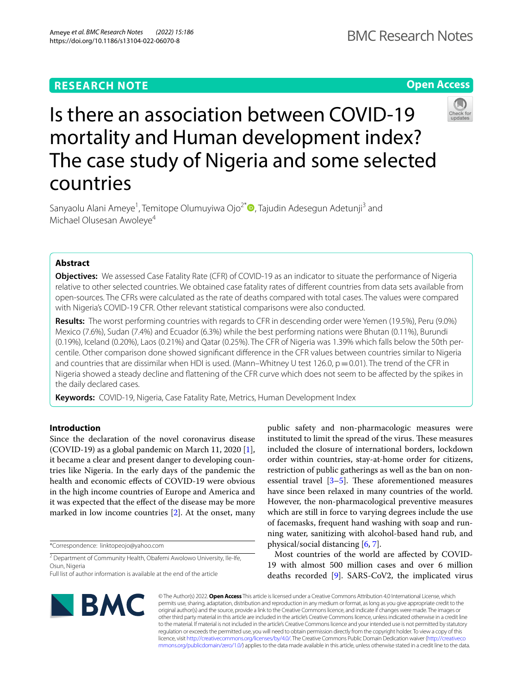## **RESEARCH NOTE**

**Open Access**

# Is there an association between COVID-19 mortality and Human development index? The case study of Nigeria and some selected countries

Sanyaolu Alani Ameye<sup>1</sup>, Temitope Olumuyiwa Ojo<sup>2[\\*](http://orcid.org/0000-0003-1899-5213)</sup> (D, Tajudin Adesegun Adetunji<sup>3</sup> and Michael Olusesan Awoleye<sup>4</sup>

## **Abstract**

**Objectives:** We assessed Case Fatality Rate (CFR) of COVID-19 as an indicator to situate the performance of Nigeria relative to other selected countries. We obtained case fatality rates of diferent countries from data sets available from open-sources. The CFRs were calculated as the rate of deaths compared with total cases. The values were compared with Nigeria's COVID-19 CFR. Other relevant statistical comparisons were also conducted.

**Results:** The worst performing countries with regards to CFR in descending order were Yemen (19.5%), Peru (9.0%) Mexico (7.6%), Sudan (7.4%) and Ecuador (6.3%) while the best performing nations were Bhutan (0.11%), Burundi (0.19%), Iceland (0.20%), Laos (0.21%) and Qatar (0.25%). The CFR of Nigeria was 1.39% which falls below the 50th percentile. Other comparison done showed signifcant diference in the CFR values between countries similar to Nigeria and countries that are dissimilar when HDI is used. (Mann–Whitney U test 126.0,  $p = 0.01$ ). The trend of the CFR in Nigeria showed a steady decline and fattening of the CFR curve which does not seem to be afected by the spikes in the daily declared cases.

**Keywords:** COVID-19, Nigeria, Case Fatality Rate, Metrics, Human Development Index

## **Introduction**

Since the declaration of the novel coronavirus disease (COVID-19) as a global pandemic on March 11, 2020 [\[1](#page-5-0)], it became a clear and present danger to developing countries like Nigeria. In the early days of the pandemic the health and economic efects of COVID-19 were obvious in the high income countries of Europe and America and it was expected that the efect of the disease may be more marked in low income countries [[2\]](#page-5-1). At the onset, many

\*Correspondence: linktopeojo@yahoo.com

<sup>2</sup> Department of Community Health, Obafemi Awolowo University, Ile-Ife, Osun, Nigeria

public safety and non-pharmacologic measures were instituted to limit the spread of the virus. These measures included the closure of international borders, lockdown order within countries, stay-at-home order for citizens, restriction of public gatherings as well as the ban on nonessential travel  $[3-5]$  $[3-5]$ . These aforementioned measures have since been relaxed in many countries of the world. However, the non-pharmacological preventive measures which are still in force to varying degrees include the use of facemasks, frequent hand washing with soap and running water, sanitizing with alcohol-based hand rub, and physical/social distancing [[6,](#page-5-4) [7](#page-5-5)].

Most countries of the world are afected by COVID-19 with almost 500 million cases and over 6 million deaths recorded [[9](#page-5-6)]. SARS-CoV2, the implicated virus



© The Author(s) 2022. **Open Access** This article is licensed under a Creative Commons Attribution 4.0 International License, which permits use, sharing, adaptation, distribution and reproduction in any medium or format, as long as you give appropriate credit to the original author(s) and the source, provide a link to the Creative Commons licence, and indicate if changes were made. The images or other third party material in this article are included in the article's Creative Commons licence, unless indicated otherwise in a credit line to the material. If material is not included in the article's Creative Commons licence and your intended use is not permitted by statutory regulation or exceeds the permitted use, you will need to obtain permission directly from the copyright holder. To view a copy of this licence, visit [http://creativecommons.org/licenses/by/4.0/.](http://creativecommons.org/licenses/by/4.0/) The Creative Commons Public Domain Dedication waiver ([http://creativeco](http://creativecommons.org/publicdomain/zero/1.0/) [mmons.org/publicdomain/zero/1.0/](http://creativecommons.org/publicdomain/zero/1.0/)) applies to the data made available in this article, unless otherwise stated in a credit line to the data.



Full list of author information is available at the end of the article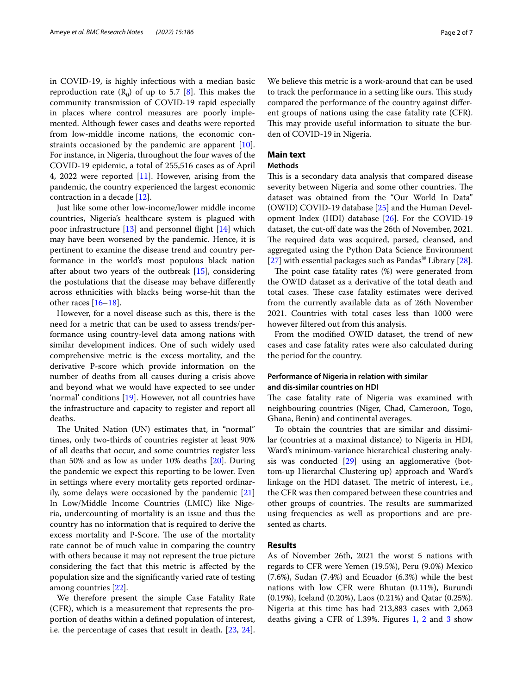in COVID-19, is highly infectious with a median basic reproduction rate  $(R_0)$  of up to 5.7 [\[8](#page-5-7)]. This makes the community transmission of COVID-19 rapid especially in places where control measures are poorly implemented. Although fewer cases and deaths were reported from low-middle income nations, the economic constraints occasioned by the pandemic are apparent [\[10](#page-6-0)]. For instance, in Nigeria, throughout the four waves of the COVID-19 epidemic, a total of 255,516 cases as of April 4, 2022 were reported [\[11\]](#page-6-1). However, arising from the pandemic, the country experienced the largest economic contraction in a decade [[12](#page-6-2)].

Just like some other low-income/lower middle income countries, Nigeria's healthcare system is plagued with poor infrastructure [[13\]](#page-6-3) and personnel fight [\[14](#page-6-4)] which may have been worsened by the pandemic. Hence, it is pertinent to examine the disease trend and country performance in the world's most populous black nation after about two years of the outbreak [[15](#page-6-5)], considering the postulations that the disease may behave diferently across ethnicities with blacks being worse-hit than the other races [\[16](#page-6-6)[–18\]](#page-6-7).

However, for a novel disease such as this, there is the need for a metric that can be used to assess trends/performance using country-level data among nations with similar development indices. One of such widely used comprehensive metric is the excess mortality, and the derivative P-score which provide information on the number of deaths from all causes during a crisis above and beyond what we would have expected to see under 'normal' conditions [\[19](#page-6-8)]. However, not all countries have the infrastructure and capacity to register and report all deaths.

The United Nation (UN) estimates that, in "normal" times, only two-thirds of countries register at least 90% of all deaths that occur, and some countries register less than 50% and as low as under 10% deaths [\[20](#page-6-9)]. During the pandemic we expect this reporting to be lower. Even in settings where every mortality gets reported ordinarily, some delays were occasioned by the pandemic [[21](#page-6-10)] In Low/Middle Income Countries (LMIC) like Nigeria, undercounting of mortality is an issue and thus the country has no information that is required to derive the excess mortality and P-Score. The use of the mortality rate cannot be of much value in comparing the country with others because it may not represent the true picture considering the fact that this metric is afected by the population size and the signifcantly varied rate of testing among countries [[22\]](#page-6-11).

We therefore present the simple Case Fatality Rate (CFR), which is a measurement that represents the proportion of deaths within a defned population of interest, i.e. the percentage of cases that result in death. [[23,](#page-6-12) [24](#page-6-13)].

We believe this metric is a work-around that can be used to track the performance in a setting like ours. This study compared the performance of the country against diferent groups of nations using the case fatality rate (CFR). This may provide useful information to situate the burden of COVID-19 in Nigeria.

## **Main text**

## **Methods**

This is a secondary data analysis that compared disease severity between Nigeria and some other countries. The dataset was obtained from the "Our World In Data" (OWID) COVID-19 database [\[25](#page-6-14)] and the Human Development Index (HDI) database [\[26\]](#page-6-15). For the COVID-19 dataset, the cut-off date was the 26th of November, 2021. The required data was acquired, parsed, cleansed, and aggregated using the Python Data Science Environment [[27\]](#page-6-16) with essential packages such as Pandas® Library [\[28](#page-6-17)].

The point case fatality rates  $(\%)$  were generated from the OWID dataset as a derivative of the total death and total cases. These case fatality estimates were derived from the currently available data as of 26th November 2021. Countries with total cases less than 1000 were however fltered out from this analysis.

From the modifed OWID dataset, the trend of new cases and case fatality rates were also calculated during the period for the country.

## **Performance of Nigeria in relation with similar and dis‑similar countries on HDI**

The case fatality rate of Nigeria was examined with neighbouring countries (Niger, Chad, Cameroon, Togo, Ghana, Benin) and continental averages.

To obtain the countries that are similar and dissimilar (countries at a maximal distance) to Nigeria in HDI, Ward's minimum-variance hierarchical clustering analysis was conducted [[29](#page-6-18)] using an agglomerative (bottom-up Hierarchal Clustering up) approach and Ward's linkage on the HDI dataset. The metric of interest, i.e., the CFR was then compared between these countries and other groups of countries. The results are summarized using frequencies as well as proportions and are presented as charts.

## **Results**

As of November 26th, 2021 the worst 5 nations with regards to CFR were Yemen (19.5%), Peru (9.0%) Mexico (7.6%), Sudan (7.4%) and Ecuador (6.3%) while the best nations with low CFR were Bhutan (0.11%), Burundi (0.19%), Iceland (0.20%), Laos (0.21%) and Qatar (0.25%). Nigeria at this time has had 213,883 cases with 2,063 deaths giving a CFR of 1.39%. Figures [1,](#page-2-0) [2](#page-3-0) and [3](#page-4-0) show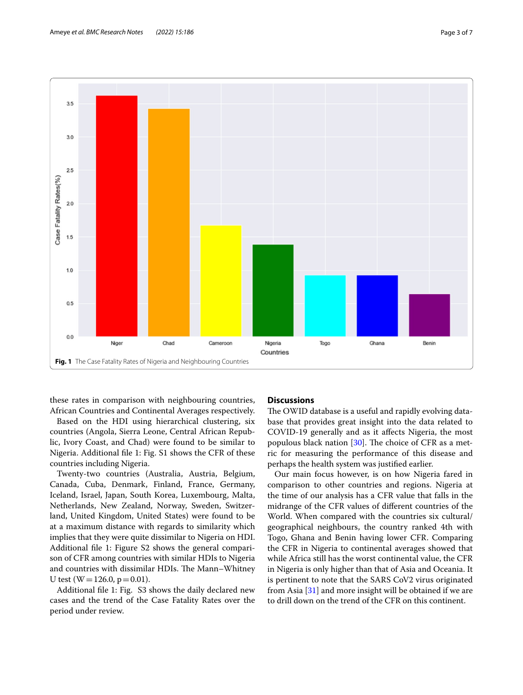

<span id="page-2-0"></span>these rates in comparison with neighbouring countries, African Countries and Continental Averages respectively.

Based on the HDI using hierarchical clustering, six countries (Angola, Sierra Leone, Central African Republic, Ivory Coast, and Chad) were found to be similar to Nigeria. Additional fle 1: Fig. S1 shows the CFR of these countries including Nigeria.

Twenty-two countries (Australia, Austria, Belgium, Canada, Cuba, Denmark, Finland, France, Germany, Iceland, Israel, Japan, South Korea, Luxembourg, Malta, Netherlands, New Zealand, Norway, Sweden, Switzerland, United Kingdom, United States) were found to be at a maximum distance with regards to similarity which implies that they were quite dissimilar to Nigeria on HDI. Additional fle 1: Figure S2 shows the general comparison of CFR among countries with similar HDIs to Nigeria and countries with dissimilar HDIs. The Mann-Whitney U test ( $W = 126.0$ ,  $p = 0.01$ ).

Additional fle 1: Fig. S3 shows the daily declared new cases and the trend of the Case Fatality Rates over the period under review.

## **Discussions**

The OWID database is a useful and rapidly evolving database that provides great insight into the data related to COVID-19 generally and as it afects Nigeria, the most populous black nation  $[30]$  $[30]$  $[30]$ . The choice of CFR as a metric for measuring the performance of this disease and perhaps the health system was justifed earlier.

Our main focus however, is on how Nigeria fared in comparison to other countries and regions. Nigeria at the time of our analysis has a CFR value that falls in the midrange of the CFR values of diferent countries of the World. When compared with the countries six cultural/ geographical neighbours, the country ranked 4th with Togo, Ghana and Benin having lower CFR. Comparing the CFR in Nigeria to continental averages showed that while Africa still has the worst continental value, the CFR in Nigeria is only higher than that of Asia and Oceania. It is pertinent to note that the SARS CoV2 virus originated from Asia [[31](#page-6-20)] and more insight will be obtained if we are to drill down on the trend of the CFR on this continent.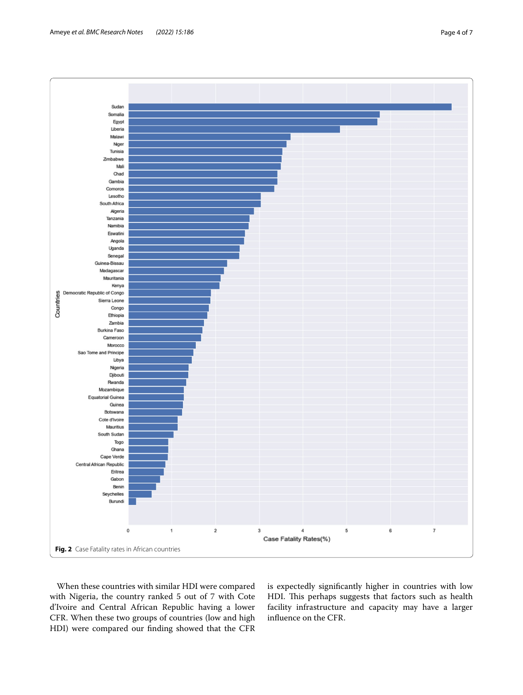

<span id="page-3-0"></span>When these countries with similar HDI were compared with Nigeria, the country ranked 5 out of 7 with Cote d'Ivoire and Central African Republic having a lower CFR. When these two groups of countries (low and high HDI) were compared our fnding showed that the CFR is expectedly signifcantly higher in countries with low HDI. This perhaps suggests that factors such as health facility infrastructure and capacity may have a larger infuence on the CFR.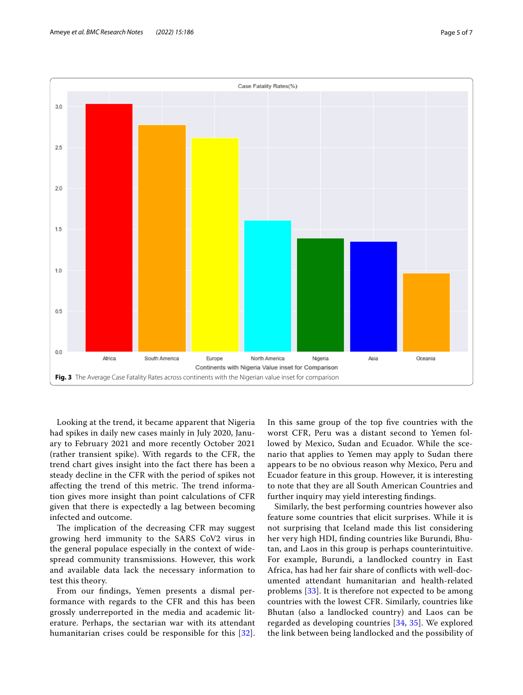

<span id="page-4-0"></span>Looking at the trend, it became apparent that Nigeria had spikes in daily new cases mainly in July 2020, January to February 2021 and more recently October 2021 (rather transient spike). With regards to the CFR, the trend chart gives insight into the fact there has been a steady decline in the CFR with the period of spikes not affecting the trend of this metric. The trend information gives more insight than point calculations of CFR given that there is expectedly a lag between becoming infected and outcome.

The implication of the decreasing CFR may suggest growing herd immunity to the SARS CoV2 virus in the general populace especially in the context of widespread community transmissions. However, this work and available data lack the necessary information to test this theory.

From our fndings, Yemen presents a dismal performance with regards to the CFR and this has been grossly underreported in the media and academic literature. Perhaps, the sectarian war with its attendant humanitarian crises could be responsible for this [[32\]](#page-6-21). In this same group of the top fve countries with the worst CFR, Peru was a distant second to Yemen followed by Mexico, Sudan and Ecuador. While the scenario that applies to Yemen may apply to Sudan there appears to be no obvious reason why Mexico, Peru and Ecuador feature in this group. However, it is interesting to note that they are all South American Countries and further inquiry may yield interesting fndings.

Similarly, the best performing countries however also feature some countries that elicit surprises. While it is not surprising that Iceland made this list considering her very high HDI, fnding countries like Burundi, Bhutan, and Laos in this group is perhaps counterintuitive. For example, Burundi, a landlocked country in East Africa, has had her fair share of conficts with well-documented attendant humanitarian and health-related problems [\[33](#page-6-22)]. It is therefore not expected to be among countries with the lowest CFR. Similarly, countries like Bhutan (also a landlocked country) and Laos can be regarded as developing countries [[34](#page-6-23), [35\]](#page-6-24). We explored the link between being landlocked and the possibility of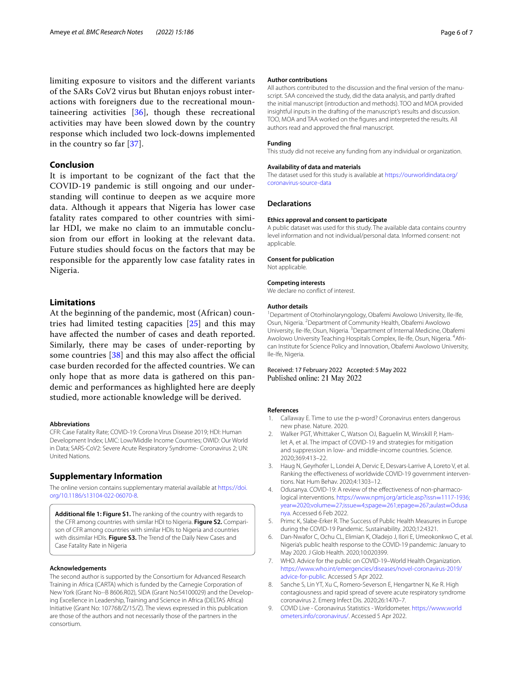limiting exposure to visitors and the diferent variants of the SARs CoV2 virus but Bhutan enjoys robust interactions with foreigners due to the recreational mountaineering activities [\[36](#page-6-25)], though these recreational activities may have been slowed down by the country response which included two lock-downs implemented in the country so far [[37](#page-6-26)].

## **Conclusion**

It is important to be cognizant of the fact that the COVID-19 pandemic is still ongoing and our understanding will continue to deepen as we acquire more data. Although it appears that Nigeria has lower case fatality rates compared to other countries with similar HDI, we make no claim to an immutable conclusion from our effort in looking at the relevant data. Future studies should focus on the factors that may be responsible for the apparently low case fatality rates in Nigeria.

## **Limitations**

At the beginning of the pandemic, most (African) countries had limited testing capacities [[25\]](#page-6-14) and this may have afected the number of cases and death reported. Similarly, there may be cases of under-reporting by some countries  $[38]$  $[38]$  and this may also affect the official case burden recorded for the afected countries. We can only hope that as more data is gathered on this pandemic and performances as highlighted here are deeply studied, more actionable knowledge will be derived.

#### **Abbreviations**

CFR: Case Fatality Rate; COVID-19: Corona Virus Disease 2019; HDI: Human Development Index; LMIC: Low/Middle Income Countries; OWID: Our World in Data; SARS-CoV2: Severe Acute Respiratory Syndrome- Coronavirus 2; UN: United Nations.

#### **Supplementary Information**

The online version contains supplementary material available at [https://doi.](https://doi.org/10.1186/s13104-022-06070-8) [org/10.1186/s13104-022-06070-8](https://doi.org/10.1186/s13104-022-06070-8).

**Additional fle 1: Figure S1.** The ranking of the country with regards to the CFR among countries with similar HDI to Nigeria. **Figure S2.** Comparison of CFR among countries with similar HDIs to Nigeria and countries with dissimilar HDIs. **Figure S3.** The Trend of the Daily New Cases and Case Fatality Rate in Nigeria

#### **Acknowledgements**

The second author is supported by the Consortium for Advanced Research Training in Africa (CARTA) which is funded by the Carnegie Corporation of New York (Grant No--B 8606.R02), SIDA (Grant No:54100029) and the Developing Excellence in Leadership, Training and Science in Africa (DELTAS Africa) Initiative (Grant No: 107768/Z/15/Z). The views expressed in this publication are those of the authors and not necessarily those of the partners in the consortium.

#### **Author contributions**

All authors contributed to the discussion and the fnal version of the manuscript. SAA conceived the study, did the data analysis, and partly drafted the initial manuscript (introduction and methods). TOO and MOA provided insightful inputs in the drafting of the manuscript's results and discussion. TOO, MOA and TAA worked on the fgures and interpreted the results. All authors read and approved the fnal manuscript.

#### **Funding**

This study did not receive any funding from any individual or organization.

#### **Availability of data and materials**

The dataset used for this study is available at [https://ourworldindata.org/](https://ourworldindata.org/coronavirus-source-data) [coronavirus-source-data](https://ourworldindata.org/coronavirus-source-data)

#### **Declarations**

#### **Ethics approval and consent to participate**

A public dataset was used for this study. The available data contains country level information and not individual/personal data. Informed consent: not applicable.

#### **Consent for publication**

Not applicable.

#### **Competing interests**

We declare no confict of interest.

#### **Author details**

<sup>1</sup> Department of Otorhinolaryngology, Obafemi Awolowo University, Ile-Ife, Osun, Nigeria. <sup>2</sup> Department of Community Health, Obafemi Awolowo University, Ile-Ife, Osun, Nigeria. <sup>3</sup> Department of Internal Medicine, Obafemi Awolowo University Teaching Hospitals Complex, Ile-Ife, Osun, Nigeria. <sup>4</sup>African Institute for Science Policy and Innovation, Obafemi Awolowo University, Ile-Ife, Nigeria.

#### Received: 17 February 2022 Accepted: 5 May 2022 Published online: 21 May 2022

#### **References**

- <span id="page-5-0"></span>1. Callaway E. Time to use the p-word? Coronavirus enters dangerous new phase. Nature. 2020.
- <span id="page-5-1"></span>2. Walker PGT, Whittaker C, Watson OJ, Baguelin M, Winskill P, Hamlet A, et al. The impact of COVID-19 and strategies for mitigation and suppression in low- and middle-income countries. Science. 2020;369:413–22.
- <span id="page-5-2"></span>3. Haug N, Geyrhofer L, Londei A, Dervic E, Desvars-Larrive A, Loreto V, et al. Ranking the efectiveness of worldwide COVID-19 government interventions. Nat Hum Behav. 2020;4:1303–12.
- 4. Odusanya. COVID-19: A review of the efectiveness of non-pharmacological interventions. [https://www.npmj.org/article.asp?issn](https://www.npmj.org/article.asp?issn=1117-1936;year=2020;volume=27;issue=4;spage=261;epage=267;aulast=Odusanya)=1117-1936; year=2020;volume=27;issue=4;spage=261;epage=267;aulast=Odusa [nya. Accessed 6 Feb 2022.](https://www.npmj.org/article.asp?issn=1117-1936;year=2020;volume=27;issue=4;spage=261;epage=267;aulast=Odusanya)
- <span id="page-5-3"></span>5. Primc K, Slabe-Erker R. The Success of Public Health Measures in Europe during the COVID-19 Pandemic. Sustainability. 2020;12:4321.
- <span id="page-5-4"></span>6. Dan-Nwafor C, Ochu CL, Elimian K, Oladejo J, Ilori E, Umeokonkwo C, et al. Nigeria's public health response to the COVID-19 pandemic: January to May 2020. J Glob Health. 2020;10:020399.
- <span id="page-5-5"></span>7. WHO. Advice for the public on COVID-19–World Health Organization. [https://www.who.int/emergencies/diseases/novel-coronavirus-2019/](https://www.who.int/emergencies/diseases/novel-coronavirus-2019/advice-for-public) [advice-for-public](https://www.who.int/emergencies/diseases/novel-coronavirus-2019/advice-for-public). Accessed 5 Apr 2022.
- <span id="page-5-7"></span>8. Sanche S, Lin YT, Xu C, Romero-Severson E, Hengartner N, Ke R. High contagiousness and rapid spread of severe acute respiratory syndrome coronavirus 2. Emerg Infect Dis. 2020;26:1470–7.
- <span id="page-5-6"></span>9. COVID Live - Coronavirus Statistics - Worldometer. [https://www.world](https://www.worldometers.info/coronavirus/) [ometers.info/coronavirus/](https://www.worldometers.info/coronavirus/). Accessed 5 Apr 2022.